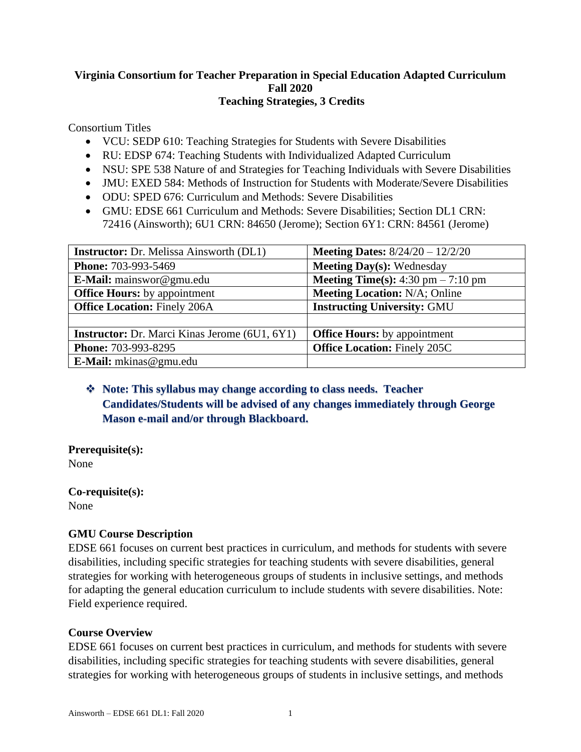### **Virginia Consortium for Teacher Preparation in Special Education Adapted Curriculum Fall 2020 Teaching Strategies, 3 Credits**

Consortium Titles

- VCU: SEDP 610: Teaching Strategies for Students with Severe Disabilities
- RU: EDSP 674: Teaching Students with Individualized Adapted Curriculum
- NSU: SPE 538 Nature of and Strategies for Teaching Individuals with Severe Disabilities
- JMU: EXED 584: Methods of Instruction for Students with Moderate/Severe Disabilities
- ODU: SPED 676: Curriculum and Methods: Severe Disabilities
- GMU: EDSE 661 Curriculum and Methods: Severe Disabilities: Section DL1 CRN: 72416 (Ainsworth); 6U1 CRN: 84650 (Jerome); Section 6Y1: CRN: 84561 (Jerome)

| <b>Instructor:</b> Dr. Melissa Ainsworth (DL1)       | <b>Meeting Dates:</b> $8/24/20 - 12/2/20$   |
|------------------------------------------------------|---------------------------------------------|
| Phone: 703-993-5469                                  | <b>Meeting Day(s): Wednesday</b>            |
| E-Mail: mainswor@gmu.edu                             | <b>Meeting Time(s):</b> 4:30 pm $- 7:10$ pm |
| <b>Office Hours:</b> by appointment                  | <b>Meeting Location: N/A; Online</b>        |
| <b>Office Location: Finely 206A</b>                  | <b>Instructing University: GMU</b>          |
|                                                      |                                             |
| <b>Instructor:</b> Dr. Marci Kinas Jerome (6U1, 6Y1) | <b>Office Hours:</b> by appointment         |
| Phone: 703-993-8295                                  | <b>Office Location: Finely 205C</b>         |
| E-Mail: mkinas@gmu.edu                               |                                             |

## ❖ **Note: This syllabus may change according to class needs. Teacher Candidates/Students will be advised of any changes immediately through George Mason e-mail and/or through Blackboard.**

**Prerequisite(s):** None

**Co-requisite(s):** None

### **GMU Course Description**

EDSE 661 focuses on current best practices in curriculum, and methods for students with severe disabilities, including specific strategies for teaching students with severe disabilities, general strategies for working with heterogeneous groups of students in inclusive settings, and methods for adapting the general education curriculum to include students with severe disabilities. Note: Field experience required.

### **Course Overview**

EDSE 661 focuses on current best practices in curriculum, and methods for students with severe disabilities, including specific strategies for teaching students with severe disabilities, general strategies for working with heterogeneous groups of students in inclusive settings, and methods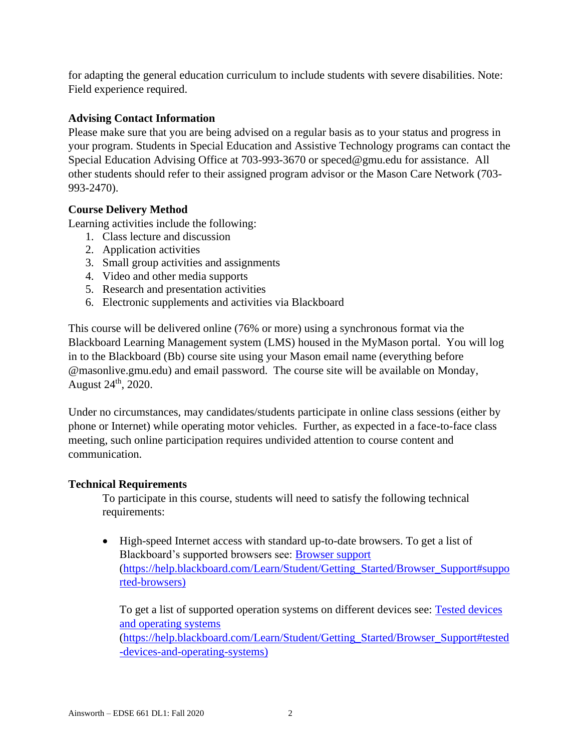for adapting the general education curriculum to include students with severe disabilities. Note: Field experience required.

## **Advising Contact Information**

Please make sure that you are being advised on a regular basis as to your status and progress in your program. Students in Special Education and Assistive Technology programs can contact the Special Education Advising Office at 703-993-3670 or [speced@gmu.edu](about:blank) for assistance. All other students should refer to their assigned program advisor or the Mason Care Network (703- 993-2470).

## **Course Delivery Method**

Learning activities include the following:

- 1. Class lecture and discussion
- 2. Application activities
- 3. Small group activities and assignments
- 4. Video and other media supports
- 5. Research and presentation activities
- 6. Electronic supplements and activities via Blackboard

This course will be delivered online (76% or more) using a synchronous format via the Blackboard Learning Management system (LMS) housed in the MyMason portal. You will log in to the Blackboard (Bb) course site using your Mason email name (everything before @masonlive.gmu.edu) and email password. The course site will be available on Monday, August 24th, 2020.

Under no circumstances, may candidates/students participate in online class sessions (either by phone or Internet) while operating motor vehicles. Further, as expected in a face-to-face class meeting, such online participation requires undivided attention to course content and communication.

## **Technical Requirements**

To participate in this course, students will need to satisfy the following technical requirements:

• High-speed Internet access with standard up-to-date browsers. To get a list of Blackboard's supported browsers see: [Browser support](about:blank#supported-browsers) [\(https://help.blackboard.com/Learn/Student/Getting\\_Started/Browser\\_Support#suppo](about:blank#supported-browsers) [rted-browsers\)](about:blank#supported-browsers)

To get a list of supported operation systems on different devices see: Tested devices [and operating systems](about:blank#tested-devices-and-operating-systems) [\(https://help.blackboard.com/Learn/Student/Getting\\_Started/Browser\\_Support#tested](about:blank#tested-devices-and-operating-systems) [-devices-and-operating-systems\)](about:blank#tested-devices-and-operating-systems)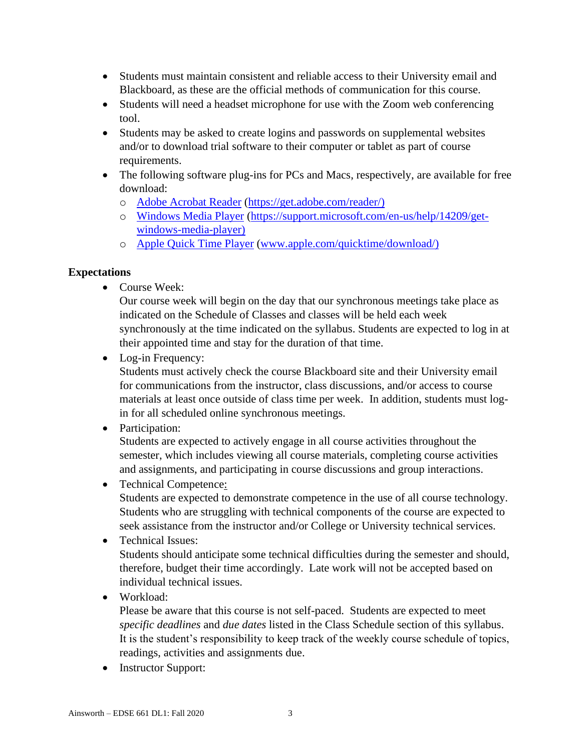- Students must maintain consistent and reliable access to their University email and Blackboard, as these are the official methods of communication for this course.
- Students will need a headset microphone for use with the Zoom web conferencing tool.
- Students may be asked to create logins and passwords on supplemental websites and/or to download trial software to their computer or tablet as part of course requirements.
- The following software plug-ins for PCs and Macs, respectively, are available for free download:
	- o [Adobe Acrobat Reader](about:blank) [\(https://get.adobe.com/reader/\)](about:blank)
	- o [Windows Media Player](about:blank) [\(https://support.microsoft.com/en-us/help/14209/get](about:blank)[windows-media-player\)](about:blank)
	- o [Apple Quick Time Player](about:blank) [\(www.apple.com/quicktime/download/\)](about:blank)

## **Expectations**

• Course Week:

Our course week will begin on the day that our synchronous meetings take place as indicated on the Schedule of Classes and classes will be held each week synchronously at the time indicated on the syllabus. Students are expected to log in at their appointed time and stay for the duration of that time.

• Log-in Frequency:

Students must actively check the course Blackboard site and their University email for communications from the instructor, class discussions, and/or access to course materials at least once outside of class time per week. In addition, students must login for all scheduled online synchronous meetings.

• Participation:

Students are expected to actively engage in all course activities throughout the semester, which includes viewing all course materials, completing course activities and assignments, and participating in course discussions and group interactions.

• Technical Competence:

Students are expected to demonstrate competence in the use of all course technology. Students who are struggling with technical components of the course are expected to seek assistance from the instructor and/or College or University technical services.

- Technical Issues: Students should anticipate some technical difficulties during the semester and should, therefore, budget their time accordingly. Late work will not be accepted based on individual technical issues.
- Workload:

Please be aware that this course is not self-paced. Students are expected to meet *specific deadlines* and *due dates* listed in the Class Schedule section of this syllabus. It is the student's responsibility to keep track of the weekly course schedule of topics, readings, activities and assignments due.

• Instructor Support: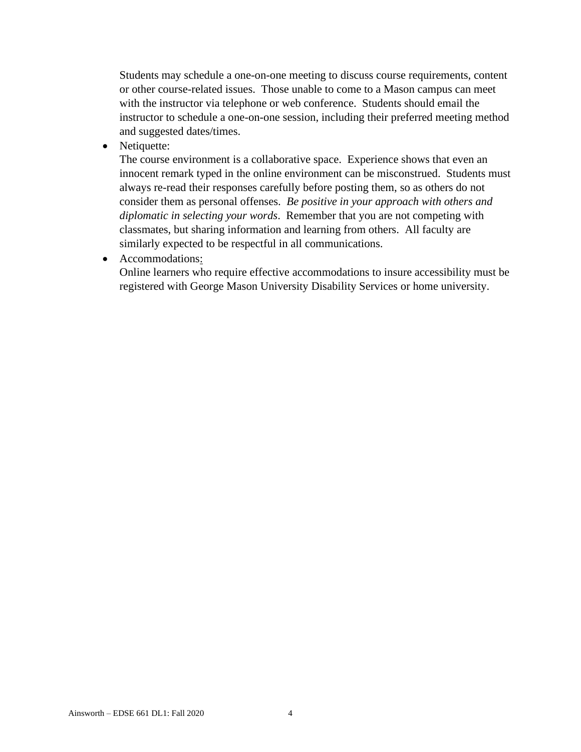Students may schedule a one-on-one meeting to discuss course requirements, content or other course-related issues. Those unable to come to a Mason campus can meet with the instructor via telephone or web conference. Students should email the instructor to schedule a one-on-one session, including their preferred meeting method and suggested dates/times.

• Netiquette:

The course environment is a collaborative space. Experience shows that even an innocent remark typed in the online environment can be misconstrued. Students must always re-read their responses carefully before posting them, so as others do not consider them as personal offenses. *Be positive in your approach with others and diplomatic in selecting your words*. Remember that you are not competing with classmates, but sharing information and learning from others. All faculty are similarly expected to be respectful in all communications.

• Accommodations:

Online learners who require effective accommodations to insure accessibility must be registered with George Mason University Disability Services or home university.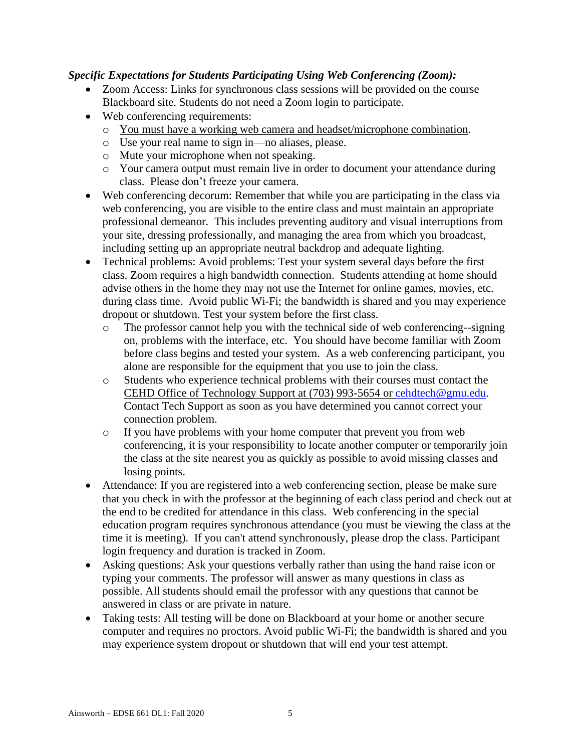## *Specific Expectations for Students Participating Using Web Conferencing (Zoom):*

- Zoom Access: Links for synchronous class sessions will be provided on the course Blackboard site. Students do not need a Zoom login to participate.
- Web conferencing requirements:
	- o You must have a working web camera and headset/microphone combination.
	- o Use your real name to sign in—no aliases, please.
	- o Mute your microphone when not speaking.
	- o Your camera output must remain live in order to document your attendance during class. Please don't freeze your camera.
- Web conferencing decorum: Remember that while you are participating in the class via web conferencing, you are visible to the entire class and must maintain an appropriate professional demeanor. This includes preventing auditory and visual interruptions from your site, dressing professionally, and managing the area from which you broadcast, including setting up an appropriate neutral backdrop and adequate lighting.
- Technical problems: Avoid problems: Test your system several days before the first class. Zoom requires a high bandwidth connection. Students attending at home should advise others in the home they may not use the Internet for online games, movies, etc. during class time. Avoid public Wi-Fi; the bandwidth is shared and you may experience dropout or shutdown. Test your system before the first class.
	- o The professor cannot help you with the technical side of web conferencing--signing on, problems with the interface, etc. You should have become familiar with Zoom before class begins and tested your system. As a web conferencing participant, you alone are responsible for the equipment that you use to join the class.
	- o Students who experience technical problems with their courses must contact the CEHD Office of Technology Support at (703) 993-5654 or [cehdtech@gmu.edu.](about:blank) Contact Tech Support as soon as you have determined you cannot correct your connection problem.
	- o If you have problems with your home computer that prevent you from web conferencing, it is your responsibility to locate another computer or temporarily join the class at the site nearest you as quickly as possible to avoid missing classes and losing points.
- Attendance: If you are registered into a web conferencing section, please be make sure that you check in with the professor at the beginning of each class period and check out at the end to be credited for attendance in this class. Web conferencing in the special education program requires synchronous attendance (you must be viewing the class at the time it is meeting). If you can't attend synchronously, please drop the class. Participant login frequency and duration is tracked in Zoom.
- Asking questions: Ask your questions verbally rather than using the hand raise icon or typing your comments. The professor will answer as many questions in class as possible. All students should email the professor with any questions that cannot be answered in class or are private in nature.
- Taking tests: All testing will be done on Blackboard at your home or another secure computer and requires no proctors. Avoid public Wi-Fi; the bandwidth is shared and you may experience system dropout or shutdown that will end your test attempt.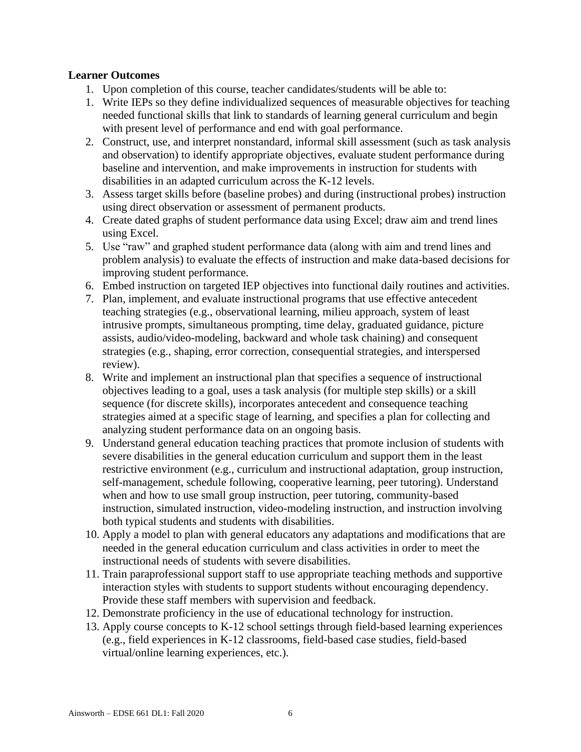### **Learner Outcomes**

- 1. Upon completion of this course, teacher candidates/students will be able to:
- 1. Write IEPs so they define individualized sequences of measurable objectives for teaching needed functional skills that link to standards of learning general curriculum and begin with present level of performance and end with goal performance.
- 2. Construct, use, and interpret nonstandard, informal skill assessment (such as task analysis and observation) to identify appropriate objectives, evaluate student performance during baseline and intervention, and make improvements in instruction for students with disabilities in an adapted curriculum across the K-12 levels.
- 3. Assess target skills before (baseline probes) and during (instructional probes) instruction using direct observation or assessment of permanent products.
- 4. Create dated graphs of student performance data using Excel; draw aim and trend lines using Excel.
- 5. Use "raw" and graphed student performance data (along with aim and trend lines and problem analysis) to evaluate the effects of instruction and make data-based decisions for improving student performance.
- 6. Embed instruction on targeted IEP objectives into functional daily routines and activities.
- 7. Plan, implement, and evaluate instructional programs that use effective antecedent teaching strategies (e.g., observational learning, milieu approach, system of least intrusive prompts, simultaneous prompting, time delay, graduated guidance, picture assists, audio/video-modeling, backward and whole task chaining) and consequent strategies (e.g., shaping, error correction, consequential strategies, and interspersed review).
- 8. Write and implement an instructional plan that specifies a sequence of instructional objectives leading to a goal, uses a task analysis (for multiple step skills) or a skill sequence (for discrete skills), incorporates antecedent and consequence teaching strategies aimed at a specific stage of learning, and specifies a plan for collecting and analyzing student performance data on an ongoing basis.
- 9. Understand general education teaching practices that promote inclusion of students with severe disabilities in the general education curriculum and support them in the least restrictive environment (e.g., curriculum and instructional adaptation, group instruction, self-management, schedule following, cooperative learning, peer tutoring). Understand when and how to use small group instruction, peer tutoring, community-based instruction, simulated instruction, video-modeling instruction, and instruction involving both typical students and students with disabilities.
- 10. Apply a model to plan with general educators any adaptations and modifications that are needed in the general education curriculum and class activities in order to meet the instructional needs of students with severe disabilities.
- 11. Train paraprofessional support staff to use appropriate teaching methods and supportive interaction styles with students to support students without encouraging dependency. Provide these staff members with supervision and feedback.
- 12. Demonstrate proficiency in the use of educational technology for instruction.
- 13. Apply course concepts to K-12 school settings through field-based learning experiences (e.g., field experiences in K-12 classrooms, field-based case studies, field-based virtual/online learning experiences, etc.).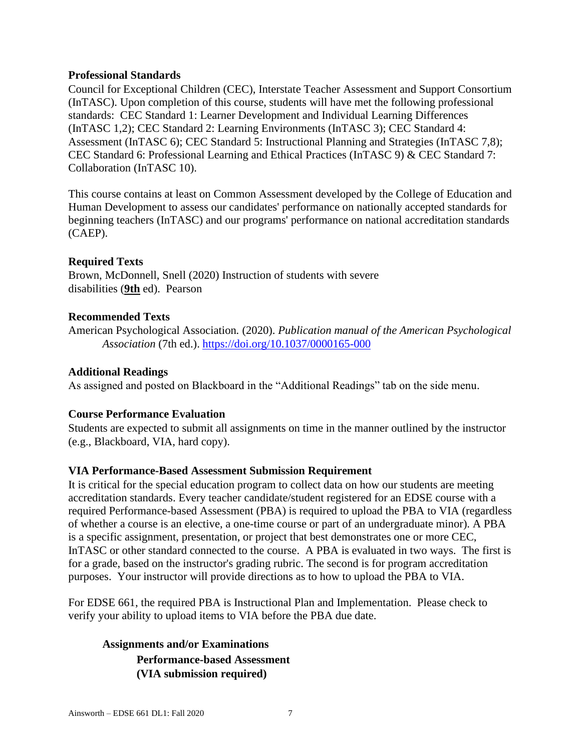#### **Professional Standards**

Council for Exceptional Children (CEC), Interstate Teacher Assessment and Support Consortium (InTASC). Upon completion of this course, students will have met the following professional standards: CEC Standard 1: Learner Development and Individual Learning Differences (InTASC 1,2); CEC Standard 2: Learning Environments (InTASC 3); CEC Standard 4: Assessment (InTASC 6); CEC Standard 5: Instructional Planning and Strategies (InTASC 7,8); CEC Standard 6: Professional Learning and Ethical Practices (InTASC 9) & CEC Standard 7: Collaboration (InTASC 10).

This course contains at least on Common Assessment developed by the College of Education and Human Development to assess our candidates' performance on nationally accepted standards for beginning teachers (InTASC) and our programs' performance on national accreditation standards (CAEP).

### **Required Texts**

Brown, McDonnell, Snell (2020) Instruction of students with severe disabilities (**9th** ed). Pearson

### **Recommended Texts**

American Psychological Association*.* (2020). *Publication manual of the American Psychological Association* (7th ed.). [https://doi.org/10.1037/0000165-000](about:blank)

### **Additional Readings**

As assigned and posted on Blackboard in the "Additional Readings" tab on the side menu.

### **Course Performance Evaluation**

Students are expected to submit all assignments on time in the manner outlined by the instructor (e.g., Blackboard, VIA, hard copy).

### **VIA Performance-Based Assessment Submission Requirement**

It is critical for the special education program to collect data on how our students are meeting accreditation standards. Every teacher candidate/student registered for an EDSE course with a required Performance-based Assessment (PBA) is required to upload the PBA to VIA (regardless of whether a course is an elective, a one-time course or part of an undergraduate minor). A PBA is a specific assignment, presentation, or project that best demonstrates one or more CEC, InTASC or other standard connected to the course. A PBA is evaluated in two ways. The first is for a grade, based on the instructor's grading rubric. The second is for program accreditation purposes. Your instructor will provide directions as to how to upload the PBA to VIA.

For EDSE 661, the required PBA is Instructional Plan and Implementation. Please check to verify your ability to upload items to VIA before the PBA due date.

**Assignments and/or Examinations Performance-based Assessment (VIA submission required)**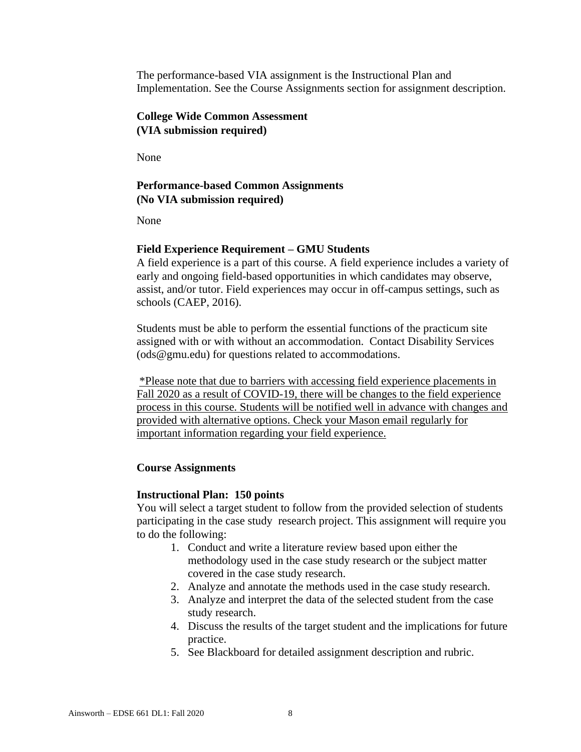The performance-based VIA assignment is the Instructional Plan and Implementation. See the Course Assignments section for assignment description.

### **College Wide Common Assessment (VIA submission required)**

None

## **Performance-based Common Assignments (No VIA submission required)**

None

#### **Field Experience Requirement – GMU Students**

A field experience is a part of this course. A field experience includes a variety of early and ongoing field-based opportunities in which candidates may observe, assist, and/or tutor. Field experiences may occur in off-campus settings, such as schools (CAEP, 2016).

Students must be able to perform the essential functions of the practicum site assigned with or with without an accommodation. Contact Disability Services (ods@gmu.edu) for questions related to accommodations.

\*Please note that due to barriers with accessing field experience placements in Fall 2020 as a result of COVID-19, there will be changes to the field experience process in this course. Students will be notified well in advance with changes and provided with alternative options. Check your Mason email regularly for important information regarding your field experience.

#### **Course Assignments**

#### **Instructional Plan: 150 points**

You will select a target student to follow from the provided selection of students participating in the case study research project. This assignment will require you to do the following:

- 1. Conduct and write a literature review based upon either the methodology used in the case study research or the subject matter covered in the case study research.
- 2. Analyze and annotate the methods used in the case study research.
- 3. Analyze and interpret the data of the selected student from the case study research.
- 4. Discuss the results of the target student and the implications for future practice.
- 5. See Blackboard for detailed assignment description and rubric.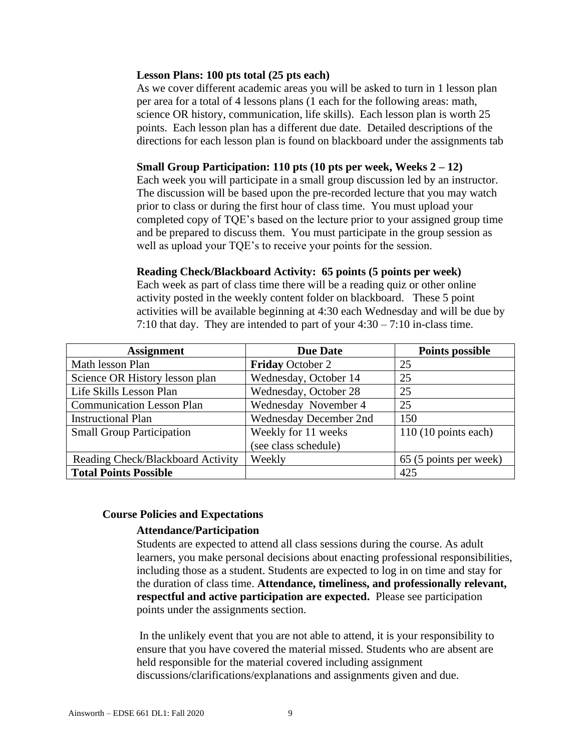#### **Lesson Plans: 100 pts total (25 pts each)**

As we cover different academic areas you will be asked to turn in 1 lesson plan per area for a total of 4 lessons plans (1 each for the following areas: math, science OR history, communication, life skills). Each lesson plan is worth 25 points. Each lesson plan has a different due date. Detailed descriptions of the directions for each lesson plan is found on blackboard under the assignments tab

### **Small Group Participation: 110 pts (10 pts per week, Weeks 2 – 12)**

Each week you will participate in a small group discussion led by an instructor. The discussion will be based upon the pre-recorded lecture that you may watch prior to class or during the first hour of class time. You must upload your completed copy of TQE's based on the lecture prior to your assigned group time and be prepared to discuss them. You must participate in the group session as well as upload your TQE's to receive your points for the session.

### **Reading Check/Blackboard Activity: 65 points (5 points per week)**

Each week as part of class time there will be a reading quiz or other online activity posted in the weekly content folder on blackboard. These 5 point activities will be available beginning at 4:30 each Wednesday and will be due by 7:10 that day. They are intended to part of your 4:30 – 7:10 in-class time.

| <b>Assignment</b>                 | <b>Due Date</b>         | <b>Points possible</b>        |
|-----------------------------------|-------------------------|-------------------------------|
| Math lesson Plan                  | <b>Friday October 2</b> | 25                            |
| Science OR History lesson plan    | Wednesday, October 14   | 25                            |
| Life Skills Lesson Plan           | Wednesday, October 28   | 25                            |
| <b>Communication Lesson Plan</b>  | Wednesday November 4    | 25                            |
| <b>Instructional Plan</b>         | Wednesday December 2nd  | 150                           |
| <b>Small Group Participation</b>  | Weekly for 11 weeks     | $110(10 \text{ points each})$ |
|                                   | (see class schedule)    |                               |
| Reading Check/Blackboard Activity | Weekly                  | 65 (5 points per week)        |
| <b>Total Points Possible</b>      |                         | 425                           |

### **Course Policies and Expectations**

### **Attendance/Participation**

Students are expected to attend all class sessions during the course. As adult learners, you make personal decisions about enacting professional responsibilities, including those as a student. Students are expected to log in on time and stay for the duration of class time. **Attendance, timeliness, and professionally relevant, respectful and active participation are expected.** Please see participation points under the assignments section.

In the unlikely event that you are not able to attend, it is your responsibility to ensure that you have covered the material missed. Students who are absent are held responsible for the material covered including assignment discussions/clarifications/explanations and assignments given and due.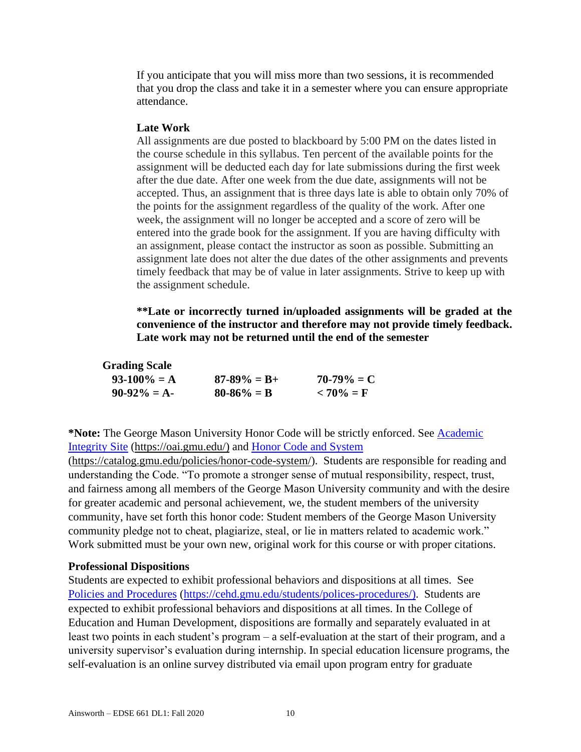If you anticipate that you will miss more than two sessions, it is recommended that you drop the class and take it in a semester where you can ensure appropriate attendance.

#### **Late Work**

All assignments are due posted to blackboard by 5:00 PM on the dates listed in the course schedule in this syllabus. Ten percent of the available points for the assignment will be deducted each day for late submissions during the first week after the due date. After one week from the due date, assignments will not be accepted. Thus, an assignment that is three days late is able to obtain only 70% of the points for the assignment regardless of the quality of the work. After one week, the assignment will no longer be accepted and a score of zero will be entered into the grade book for the assignment. If you are having difficulty with an assignment, please contact the instructor as soon as possible. Submitting an assignment late does not alter the due dates of the other assignments and prevents timely feedback that may be of value in later assignments. Strive to keep up with the assignment schedule.

**\*\*Late or incorrectly turned in/uploaded assignments will be graded at the convenience of the instructor and therefore may not provide timely feedback. Late work may not be returned until the end of the semester**

#### **Grading Scale**

| $93-100\% = A$ | $87 - 89\% = B +$ | $70-79\% = C$ |
|----------------|-------------------|---------------|
| $90-92\% = A$  | $80 - 86\% = B$   | $< 70\% = F$  |

**\*Note:** The George Mason University Honor Code will be strictly enforced. See [Academic](about:blank)  [Integrity Site](about:blank) [\(https://oai.gmu.edu/\)](about:blank) and [Honor Code and System](about:blank)

[\(https://catalog.gmu.edu/policies/honor-code-system/\)](about:blank). Students are responsible for reading and understanding the Code. "To promote a stronger sense of mutual responsibility, respect, trust, and fairness among all members of the George Mason University community and with the desire for greater academic and personal achievement, we, the student members of the university community, have set forth this honor code: Student members of the George Mason University community pledge not to cheat, plagiarize, steal, or lie in matters related to academic work." Work submitted must be your own new, original work for this course or with proper citations.

#### **Professional Dispositions**

Students are expected to exhibit professional behaviors and dispositions at all times. See [Policies and Procedures](about:blank) [\(https://cehd.gmu.edu/students/polices-procedures/\)](about:blank). Students are expected to exhibit professional behaviors and dispositions at all times. In the College of Education and Human Development, dispositions are formally and separately evaluated in at least two points in each student's program – a self-evaluation at the start of their program, and a university supervisor's evaluation during internship. In special education licensure programs, the self-evaluation is an online survey distributed via email upon program entry for graduate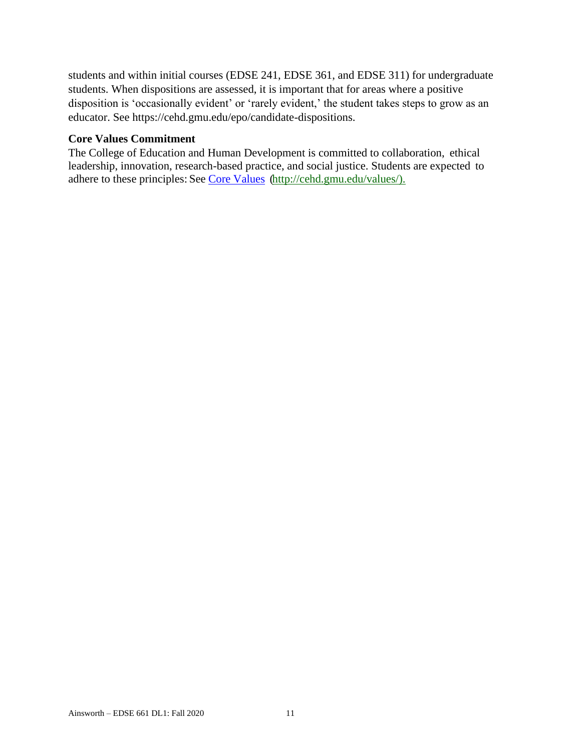students and within initial courses (EDSE 241, EDSE 361, and EDSE 311) for undergraduate students. When dispositions are assessed, it is important that for areas where a positive disposition is 'occasionally evident' or 'rarely evident,' the student takes steps to grow as an educator. See https://cehd.gmu.edu/epo/candidate-dispositions.

### **Core Values Commitment**

The College of Education and Human Development is committed to collaboration, ethical leadership, innovation, research-based practice, and social justice. Students are expected to adhere to these principles: See [Core Values](about:blank) [\(http://cehd.gmu.edu/values/\)](about:blank).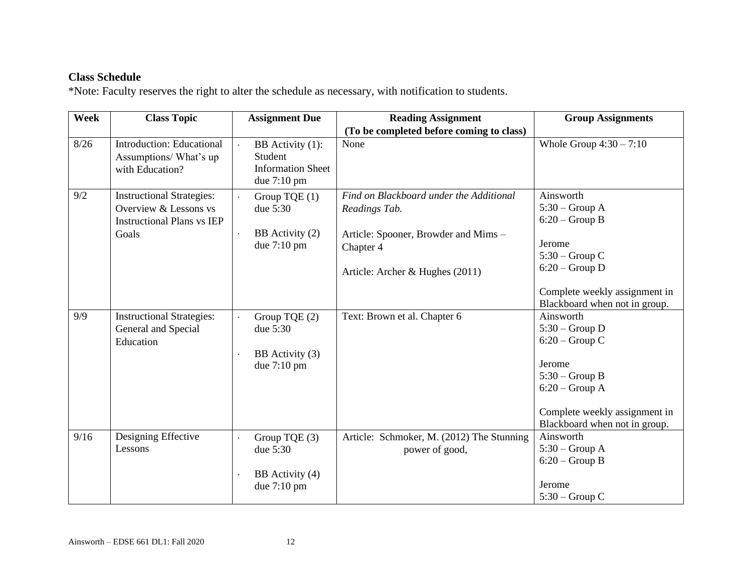## **Class Schedule**

\*Note: Faculty reserves the right to alter the schedule as necessary, with notification to students.

| Week | <b>Class Topic</b>                                                                                      | <b>Assignment Due</b>                                                            | <b>Reading Assignment</b>                                                                                                                        | <b>Group Assignments</b>                                                                                                                                              |
|------|---------------------------------------------------------------------------------------------------------|----------------------------------------------------------------------------------|--------------------------------------------------------------------------------------------------------------------------------------------------|-----------------------------------------------------------------------------------------------------------------------------------------------------------------------|
|      |                                                                                                         |                                                                                  | (To be completed before coming to class)                                                                                                         |                                                                                                                                                                       |
| 8/26 | <b>Introduction: Educational</b><br>Assumptions/What's up<br>with Education?                            | BB Activity (1):<br>Student<br><b>Information Sheet</b><br>due $7:10 \text{ pm}$ | None                                                                                                                                             | Whole Group $4:30 - 7:10$                                                                                                                                             |
| 9/2  | <b>Instructional Strategies:</b><br>Overview & Lessons vs<br><b>Instructional Plans vs IEP</b><br>Goals | Group TQE (1)<br>due 5:30<br>BB Activity (2)<br>due 7:10 pm                      | Find on Blackboard under the Additional<br>Readings Tab.<br>Article: Spooner, Browder and Mims -<br>Chapter 4<br>Article: Archer & Hughes (2011) | Ainsworth<br>$5:30$ – Group A<br>$6:20$ – Group B<br>Jerome<br>$5:30$ – Group C<br>$6:20$ – Group D<br>Complete weekly assignment in<br>Blackboard when not in group. |
| 9/9  | <b>Instructional Strategies:</b><br>General and Special<br>Education                                    | Group TQE (2)<br>due 5:30<br>BB Activity (3)<br>due 7:10 pm                      | Text: Brown et al. Chapter 6                                                                                                                     | Ainsworth<br>$5:30$ – Group D<br>$6:20$ – Group C<br>Jerome<br>$5:30$ – Group B<br>$6:20$ – Group A<br>Complete weekly assignment in<br>Blackboard when not in group. |
| 9/16 | Designing Effective<br>Lessons                                                                          | Group TQE (3)<br>due 5:30<br>BB Activity (4)<br>due 7:10 pm                      | Article: Schmoker, M. (2012) The Stunning<br>power of good,                                                                                      | Ainsworth<br>$5:30$ – Group A<br>$6:20$ – Group B<br>Jerome<br>$5:30$ – Group C                                                                                       |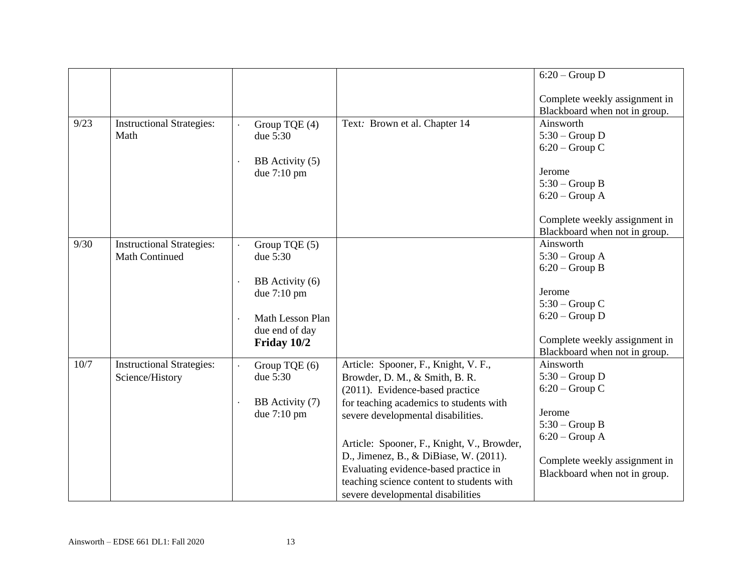|      |                                                           |                                                                                                                  |                                                                                                                                                                                                                                                                                                                                                                                                               | $6:20$ – Group D                                                                                                                                                      |
|------|-----------------------------------------------------------|------------------------------------------------------------------------------------------------------------------|---------------------------------------------------------------------------------------------------------------------------------------------------------------------------------------------------------------------------------------------------------------------------------------------------------------------------------------------------------------------------------------------------------------|-----------------------------------------------------------------------------------------------------------------------------------------------------------------------|
|      |                                                           |                                                                                                                  |                                                                                                                                                                                                                                                                                                                                                                                                               | Complete weekly assignment in<br>Blackboard when not in group.                                                                                                        |
| 9/23 | <b>Instructional Strategies:</b><br>Math                  | Group TQE (4)<br>due 5:30<br>BB Activity (5)<br>due 7:10 pm                                                      | Text: Brown et al. Chapter 14                                                                                                                                                                                                                                                                                                                                                                                 | Ainsworth<br>$5:30$ – Group D<br>$6:20$ – Group C<br>Jerome<br>$5:30$ – Group B<br>$6:20$ – Group A<br>Complete weekly assignment in<br>Blackboard when not in group. |
| 9/30 | <b>Instructional Strategies:</b><br><b>Math Continued</b> | Group TQE (5)<br>due 5:30<br>BB Activity (6)<br>due 7:10 pm<br>Math Lesson Plan<br>due end of day<br>Friday 10/2 |                                                                                                                                                                                                                                                                                                                                                                                                               | Ainsworth<br>$5:30$ – Group A<br>$6:20$ – Group B<br>Jerome<br>$5:30$ – Group C<br>$6:20$ – Group D<br>Complete weekly assignment in<br>Blackboard when not in group. |
| 10/7 | <b>Instructional Strategies:</b><br>Science/History       | Group TQE (6)<br>due 5:30<br>BB Activity (7)<br>due 7:10 pm                                                      | Article: Spooner, F., Knight, V. F.,<br>Browder, D. M., & Smith, B. R.<br>(2011). Evidence-based practice<br>for teaching academics to students with<br>severe developmental disabilities.<br>Article: Spooner, F., Knight, V., Browder,<br>D., Jimenez, B., & DiBiase, W. (2011).<br>Evaluating evidence-based practice in<br>teaching science content to students with<br>severe developmental disabilities | Ainsworth<br>$5:30$ – Group D<br>$6:20$ – Group C<br>Jerome<br>$5:30$ – Group B<br>$6:20$ – Group A<br>Complete weekly assignment in<br>Blackboard when not in group. |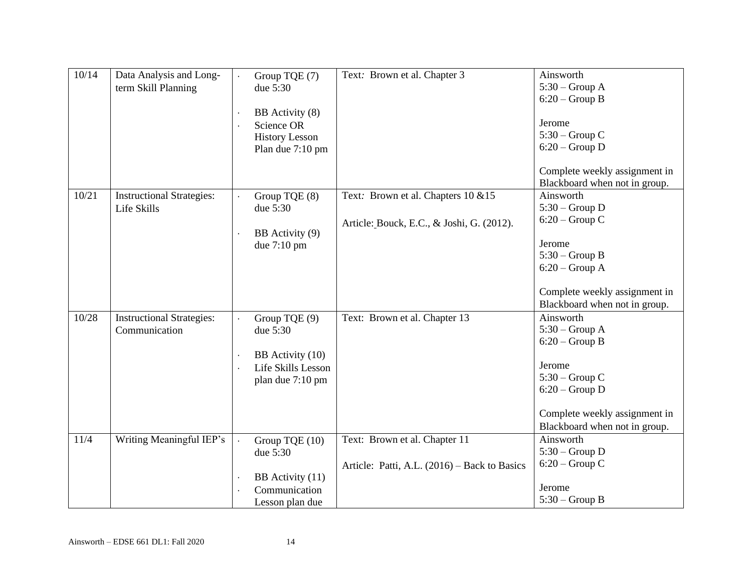| 10/14 | Data Analysis and Long-<br>term Skill Planning    | Group TQE (7)<br>due 5:30<br>BB Activity (8)<br>Science OR<br><b>History Lesson</b><br>Plan due 7:10 pm | Text: Brown et al. Chapter 3                                                     | Ainsworth<br>$5:30$ – Group A<br>$6:20$ – Group B<br>Jerome<br>$5:30$ – Group C<br>$6:20$ – Group D<br>Complete weekly assignment in<br>Blackboard when not in group. |
|-------|---------------------------------------------------|---------------------------------------------------------------------------------------------------------|----------------------------------------------------------------------------------|-----------------------------------------------------------------------------------------------------------------------------------------------------------------------|
| 10/21 | <b>Instructional Strategies:</b><br>Life Skills   | Group TQE (8)<br>due 5:30<br>BB Activity (9)<br>due $7:10 \text{ pm}$                                   | Text: Brown et al. Chapters 10 & 15<br>Article: Bouck, E.C., & Joshi, G. (2012). | Ainsworth<br>$5:30$ – Group D<br>$6:20$ – Group C<br>Jerome<br>$5:30$ – Group B<br>$6:20$ – Group A<br>Complete weekly assignment in<br>Blackboard when not in group. |
| 10/28 | <b>Instructional Strategies:</b><br>Communication | Group TQE (9)<br>due 5:30<br>BB Activity (10)<br>Life Skills Lesson<br>plan due 7:10 pm                 | Text: Brown et al. Chapter 13                                                    | Ainsworth<br>$5:30$ – Group A<br>$6:20$ – Group B<br>Jerome<br>$5:30$ – Group C<br>$6:20$ – Group D<br>Complete weekly assignment in<br>Blackboard when not in group. |
| 11/4  | Writing Meaningful IEP's                          | Group TQE (10)<br>due 5:30<br>BB Activity (11)<br>Communication<br>Lesson plan due                      | Text: Brown et al. Chapter 11<br>Article: Patti, A.L. (2016) – Back to Basics    | Ainsworth<br>$5:30$ – Group D<br>$6:20$ – Group C<br>Jerome<br>$5:30$ – Group B                                                                                       |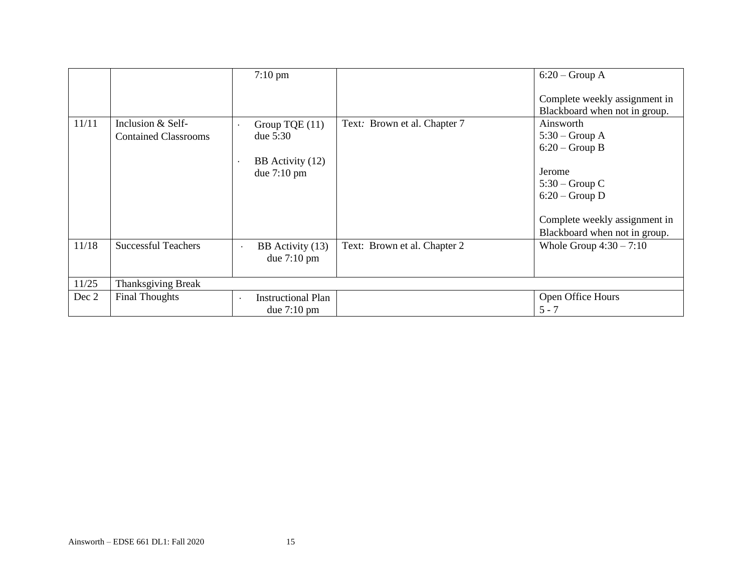|       |                             | $7:10 \text{ pm}$                                      |                              | $6:20$ – Group A<br>Complete weekly assignment in |
|-------|-----------------------------|--------------------------------------------------------|------------------------------|---------------------------------------------------|
|       |                             |                                                        |                              | Blackboard when not in group.                     |
| 11/11 | Inclusion & Self-           | Group TQE $(11)$                                       | Text: Brown et al. Chapter 7 | Ainsworth                                         |
|       | <b>Contained Classrooms</b> | due $5:30$                                             |                              | $5:30$ – Group A                                  |
|       |                             |                                                        |                              | $6:20$ – Group B                                  |
|       |                             | BB Activity (12)                                       |                              |                                                   |
|       |                             | due $7:10 \text{ pm}$                                  |                              | Jerome                                            |
|       |                             |                                                        |                              | $5:30$ – Group C                                  |
|       |                             |                                                        |                              | $6:20$ – Group D                                  |
|       |                             |                                                        |                              |                                                   |
|       |                             |                                                        |                              | Complete weekly assignment in                     |
|       |                             |                                                        |                              | Blackboard when not in group.                     |
| 11/18 | <b>Successful Teachers</b>  | BB Activity (13)<br>$\bullet$<br>due $7:10 \text{ pm}$ | Text: Brown et al. Chapter 2 | Whole Group $4:30 - 7:10$                         |
| 11/25 | Thanksgiving Break          |                                                        |                              |                                                   |
| Dec 2 | <b>Final Thoughts</b>       | <b>Instructional Plan</b>                              |                              | Open Office Hours                                 |
|       |                             | due $7:10 \text{ pm}$                                  |                              | $5 - 7$                                           |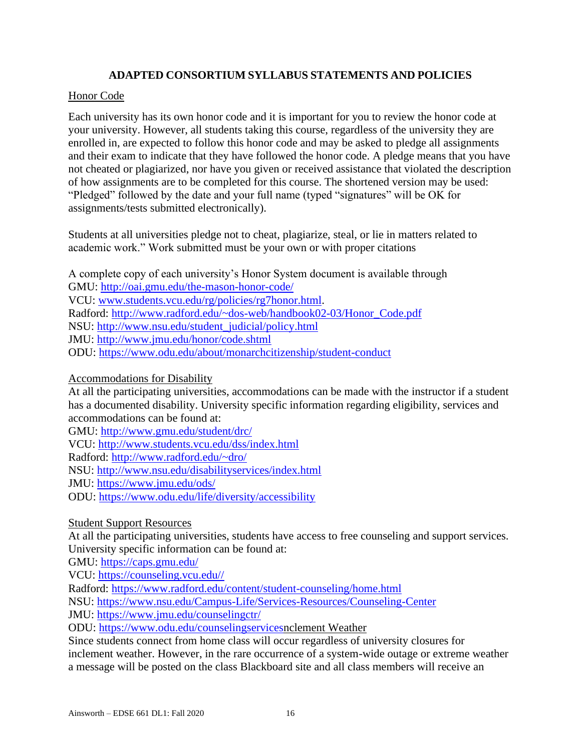## **ADAPTED CONSORTIUM SYLLABUS STATEMENTS AND POLICIES**

### Honor Code

Each university has its own honor code and it is important for you to review the honor code at your university. However, all students taking this course, regardless of the university they are enrolled in, are expected to follow this honor code and may be asked to pledge all assignments and their exam to indicate that they have followed the honor code. A pledge means that you have not cheated or plagiarized, nor have you given or received assistance that violated the description of how assignments are to be completed for this course. The shortened version may be used: "Pledged" followed by the date and your full name (typed "signatures" will be OK for assignments/tests submitted electronically).

Students at all universities pledge not to cheat, plagiarize, steal, or lie in matters related to academic work." Work submitted must be your own or with proper citations

A complete copy of each university's Honor System document is available through GMU: [http://oai.gmu.edu/the-mason-honor-code/](about:blank) VCU: [www.students.vcu.edu/rg/policies/rg7honor.html.](about:blank) Radford: [http://www.radford.edu/~dos-web/handbook02-03/Honor\\_Code.pdf](about:blank) NSU: [http://www.nsu.edu/student\\_judicial/policy.html](about:blank) JMU: [http://www.jmu.edu/honor/code.shtml](about:blank) ODU: [https://www.odu.edu/about/monarchcitizenship/student-conduct](about:blank)

Accommodations for Disability

At all the participating universities, accommodations can be made with the instructor if a student has a documented disability. University specific information regarding eligibility, services and accommodations can be found at:

GMU: [http://www.gmu.edu/student/drc/](about:blank) VCU: [http://www.students.vcu.edu/dss/index.html](about:blank) Radford: [http://www.radford.edu/~dro/](about:blank) NSU: [http://www.nsu.edu/disabilityservices/index.html](about:blank) JMU: [https://www.jmu.edu/ods/](about:blank) ODU: [https://www.odu.edu/life/diversity/accessibility](about:blank)

### Student Support Resources

At all the participating universities, students have access to free counseling and support services. University specific information can be found at:

GMU: [https://caps.gmu.edu/](about:blank)

VCU: [https://counseling.vcu.edu//](about:blank)

Radford: [https://www.radford.edu/content/student-counseling/home.html](about:blank)

NSU: [https://www.nsu.edu/Campus-Life/Services-Resources/Counseling-Center](about:blank)

JMU: [https://www.jmu.edu/counselingctr/](about:blank)

ODU: [https://www.odu.edu/counselingservicesn](about:blank)clement Weather

Since students connect from home class will occur regardless of university closures for inclement weather. However, in the rare occurrence of a system-wide outage or extreme weather a message will be posted on the class Blackboard site and all class members will receive an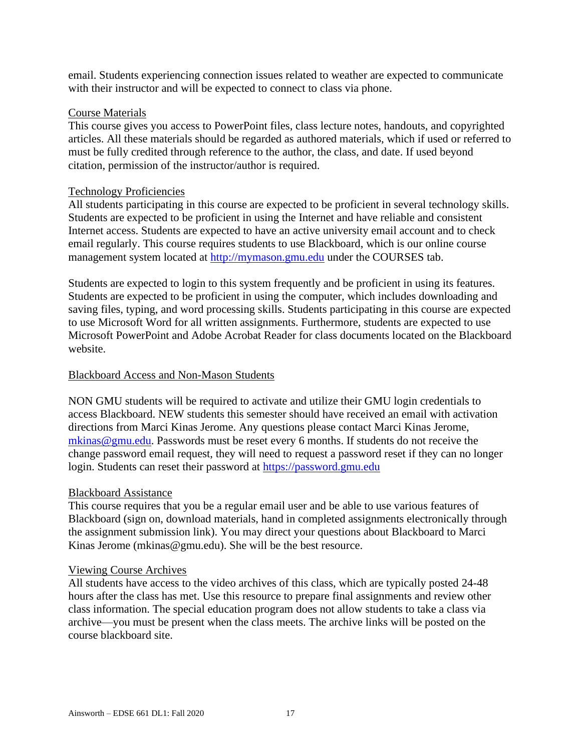email. Students experiencing connection issues related to weather are expected to communicate with their instructor and will be expected to connect to class via phone.

### Course Materials

This course gives you access to PowerPoint files, class lecture notes, handouts, and copyrighted articles. All these materials should be regarded as authored materials, which if used or referred to must be fully credited through reference to the author, the class, and date. If used beyond citation, permission of the instructor/author is required.

### Technology Proficiencies

All students participating in this course are expected to be proficient in several technology skills. Students are expected to be proficient in using the Internet and have reliable and consistent Internet access. Students are expected to have an active university email account and to check email regularly. This course requires students to use Blackboard, which is our online course management system located at [http://mymason.gmu.edu](about:blank) under the COURSES tab.

Students are expected to login to this system frequently and be proficient in using its features. Students are expected to be proficient in using the computer, which includes downloading and saving files, typing, and word processing skills. Students participating in this course are expected to use Microsoft Word for all written assignments. Furthermore, students are expected to use Microsoft PowerPoint and Adobe Acrobat Reader for class documents located on the Blackboard website.

#### Blackboard Access and Non-Mason Students

NON GMU students will be required to activate and utilize their GMU login credentials to access Blackboard. NEW students this semester should have received an email with activation directions from Marci Kinas Jerome. Any questions please contact Marci Kinas Jerome, [mkinas@gmu.edu.](about:blank) Passwords must be reset every 6 months. If students do not receive the change password email request, they will need to request a password reset if they can no longer login. Students can reset their password at [https://password.gmu.edu](about:blank)

#### Blackboard Assistance

This course requires that you be a regular email user and be able to use various features of Blackboard (sign on, download materials, hand in completed assignments electronically through the assignment submission link). You may direct your questions about Blackboard to Marci Kinas Jerome (mkinas@gmu.edu). She will be the best resource.

#### Viewing Course Archives

All students have access to the video archives of this class, which are typically posted 24-48 hours after the class has met. Use this resource to prepare final assignments and review other class information. The special education program does not allow students to take a class via archive—you must be present when the class meets. The archive links will be posted on the course blackboard site.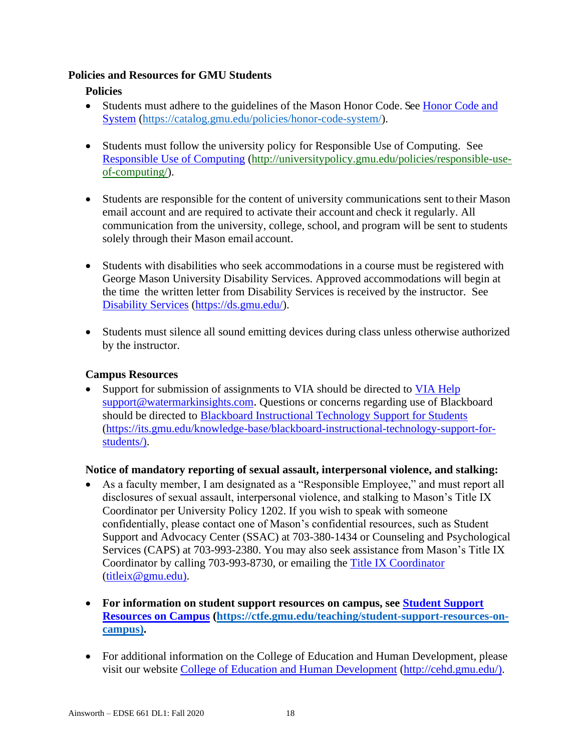### **Policies and Resources for GMU Students**

## **Policies**

- Students must adhere to the guidelines of the Mason Honor Code. See Honor Code and [System](about:blank) [\(https://catalog.gmu.edu/policies/honor-code-system/\)](about:blank).
- Students must follow the university policy for Responsible Use of Computing. See [Responsible Use of Computing](about:blank) [\(http://universitypolicy.gmu.edu/policies/responsible-use](about:blank)[of-computing/\)](about:blank).
- Students are responsible for the content of university communications sent to their Mason email account and are required to activate their account and check it regularly. All communication from the university, college, school, and program will be sent to students solely through their Mason email account.
- Students with disabilities who seek accommodations in a course must be registered with George Mason University Disability Services. Approved accommodations will begin at the time the written letter from Disability Services is received by the instructor. See [Disability Services](about:blank) [\(https://ds.gmu.edu/\)](about:blank).
- Students must silence all sound emitting devices during class unless otherwise authorized by the instructor.

## **Campus Resources**

• Support for submission of assignments to VIA should be directed to [VIA Help](about:blank) [support@watermarkinsights.com](about:blank). Questions or concerns regarding use of Blackboard should be directed to [Blackboard Instructional Technology Support for Students](about:blank) [\(https://its.gmu.edu/knowledge-base/blackboard-instructional-technology-support-for](about:blank)[students/\)](about:blank).

## **Notice of mandatory reporting of sexual assault, interpersonal violence, and stalking:**

- As a faculty member, I am designated as a "Responsible Employee," and must report all disclosures of sexual assault, interpersonal violence, and stalking to Mason's Title IX Coordinator per University Policy 1202. If you wish to speak with someone confidentially, please contact one of Mason's confidential resources, such as Student Support and Advocacy Center (SSAC) at 703-380-1434 or Counseling and Psychological Services (CAPS) at 703-993-2380. You may also seek assistance from Mason's Title IX Coordinator by calling 703-993-8730, or emailing the [Title IX Coordinator](about:blank) [\(titleix@gmu.edu\)](about:blank).
- **For information on student support resources on campus, see [Student Support](about:blank)  [Resources on Campus](about:blank) [\(https://ctfe.gmu.edu/teaching/student-support-resources-on](about:blank)[campus\)](about:blank).**
- For additional information on the College of Education and Human Development, please visit our website [College of Education and Human Development](about:blank) [\(http://cehd.gmu.edu/\)](about:blank).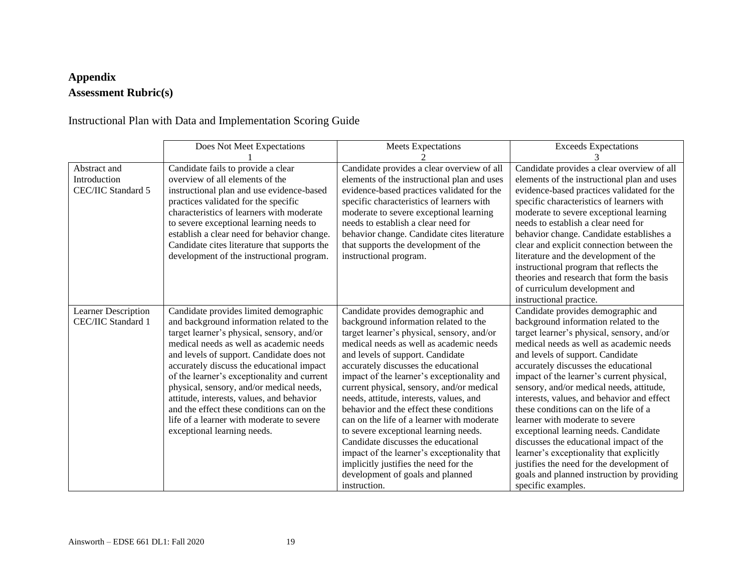# **Appendix Assessment Rubric(s)**

Instructional Plan with Data and Implementation Scoring Guide

|                                                    | Does Not Meet Expectations                                                                                                                                                                                                                                                                                                                                                                                                                                                                                                               | <b>Meets Expectations</b>                                                                                                                                                                                                                                                                                                                                                                                                                                                                                                                                                                                                                                                                                    | <b>Exceeds Expectations</b>                                                                                                                                                                                                                                                                                                                                                                                                                                                                                                                                                                                                                                                                                          |
|----------------------------------------------------|------------------------------------------------------------------------------------------------------------------------------------------------------------------------------------------------------------------------------------------------------------------------------------------------------------------------------------------------------------------------------------------------------------------------------------------------------------------------------------------------------------------------------------------|--------------------------------------------------------------------------------------------------------------------------------------------------------------------------------------------------------------------------------------------------------------------------------------------------------------------------------------------------------------------------------------------------------------------------------------------------------------------------------------------------------------------------------------------------------------------------------------------------------------------------------------------------------------------------------------------------------------|----------------------------------------------------------------------------------------------------------------------------------------------------------------------------------------------------------------------------------------------------------------------------------------------------------------------------------------------------------------------------------------------------------------------------------------------------------------------------------------------------------------------------------------------------------------------------------------------------------------------------------------------------------------------------------------------------------------------|
|                                                    |                                                                                                                                                                                                                                                                                                                                                                                                                                                                                                                                          |                                                                                                                                                                                                                                                                                                                                                                                                                                                                                                                                                                                                                                                                                                              |                                                                                                                                                                                                                                                                                                                                                                                                                                                                                                                                                                                                                                                                                                                      |
| Abstract and<br>Introduction<br>CEC/IIC Standard 5 | Candidate fails to provide a clear<br>overview of all elements of the<br>instructional plan and use evidence-based<br>practices validated for the specific<br>characteristics of learners with moderate<br>to severe exceptional learning needs to<br>establish a clear need for behavior change.<br>Candidate cites literature that supports the<br>development of the instructional program.                                                                                                                                           | Candidate provides a clear overview of all<br>elements of the instructional plan and uses<br>evidence-based practices validated for the<br>specific characteristics of learners with<br>moderate to severe exceptional learning<br>needs to establish a clear need for<br>behavior change. Candidate cites literature<br>that supports the development of the<br>instructional program.                                                                                                                                                                                                                                                                                                                      | Candidate provides a clear overview of all<br>elements of the instructional plan and uses<br>evidence-based practices validated for the<br>specific characteristics of learners with<br>moderate to severe exceptional learning<br>needs to establish a clear need for<br>behavior change. Candidate establishes a<br>clear and explicit connection between the<br>literature and the development of the<br>instructional program that reflects the<br>theories and research that form the basis<br>of curriculum development and<br>instructional practice.                                                                                                                                                         |
| Learner Description<br>CEC/IIC Standard 1          | Candidate provides limited demographic<br>and background information related to the<br>target learner's physical, sensory, and/or<br>medical needs as well as academic needs<br>and levels of support. Candidate does not<br>accurately discuss the educational impact<br>of the learner's exceptionality and current<br>physical, sensory, and/or medical needs,<br>attitude, interests, values, and behavior<br>and the effect these conditions can on the<br>life of a learner with moderate to severe<br>exceptional learning needs. | Candidate provides demographic and<br>background information related to the<br>target learner's physical, sensory, and/or<br>medical needs as well as academic needs<br>and levels of support. Candidate<br>accurately discusses the educational<br>impact of the learner's exceptionality and<br>current physical, sensory, and/or medical<br>needs, attitude, interests, values, and<br>behavior and the effect these conditions<br>can on the life of a learner with moderate<br>to severe exceptional learning needs.<br>Candidate discusses the educational<br>impact of the learner's exceptionality that<br>implicitly justifies the need for the<br>development of goals and planned<br>instruction. | Candidate provides demographic and<br>background information related to the<br>target learner's physical, sensory, and/or<br>medical needs as well as academic needs<br>and levels of support. Candidate<br>accurately discusses the educational<br>impact of the learner's current physical,<br>sensory, and/or medical needs, attitude,<br>interests, values, and behavior and effect<br>these conditions can on the life of a<br>learner with moderate to severe<br>exceptional learning needs. Candidate<br>discusses the educational impact of the<br>learner's exceptionality that explicitly<br>justifies the need for the development of<br>goals and planned instruction by providing<br>specific examples. |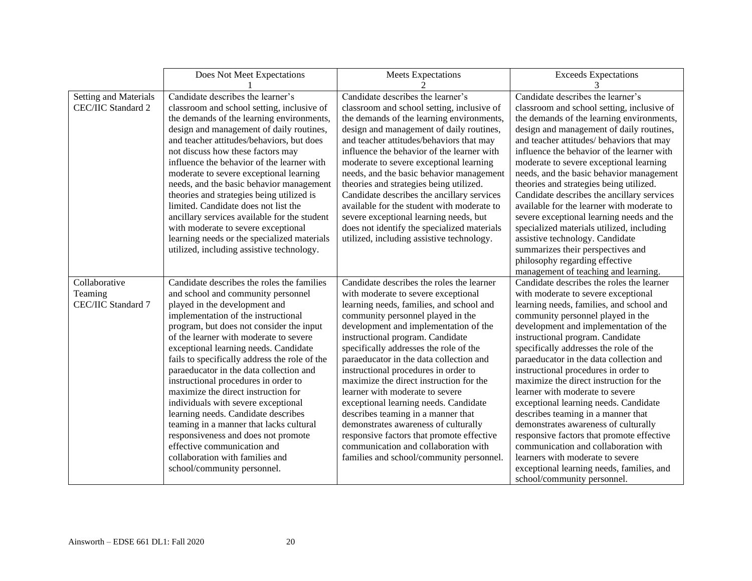|                       | Does Not Meet Expectations                    | <b>Meets Expectations</b>                   | <b>Exceeds Expectations</b>                |
|-----------------------|-----------------------------------------------|---------------------------------------------|--------------------------------------------|
|                       |                                               |                                             | 3                                          |
| Setting and Materials | Candidate describes the learner's             | Candidate describes the learner's           | Candidate describes the learner's          |
| CEC/IIC Standard 2    | classroom and school setting, inclusive of    | classroom and school setting, inclusive of  | classroom and school setting, inclusive of |
|                       | the demands of the learning environments,     | the demands of the learning environments,   | the demands of the learning environments,  |
|                       | design and management of daily routines,      | design and management of daily routines,    | design and management of daily routines,   |
|                       | and teacher attitudes/behaviors, but does     | and teacher attitudes/behaviors that may    | and teacher attitudes/ behaviors that may  |
|                       | not discuss how these factors may             | influence the behavior of the learner with  | influence the behavior of the learner with |
|                       | influence the behavior of the learner with    | moderate to severe exceptional learning     | moderate to severe exceptional learning    |
|                       | moderate to severe exceptional learning       | needs, and the basic behavior management    | needs, and the basic behavior management   |
|                       | needs, and the basic behavior management      | theories and strategies being utilized.     | theories and strategies being utilized.    |
|                       | theories and strategies being utilized is     | Candidate describes the ancillary services  | Candidate describes the ancillary services |
|                       | limited. Candidate does not list the          | available for the student with moderate to  | available for the learner with moderate to |
|                       | ancillary services available for the student  | severe exceptional learning needs, but      | severe exceptional learning needs and the  |
|                       | with moderate to severe exceptional           | does not identify the specialized materials | specialized materials utilized, including  |
|                       | learning needs or the specialized materials   | utilized, including assistive technology.   | assistive technology. Candidate            |
|                       | utilized, including assistive technology.     |                                             | summarizes their perspectives and          |
|                       |                                               |                                             | philosophy regarding effective             |
|                       |                                               |                                             | management of teaching and learning.       |
| Collaborative         | Candidate describes the roles the families    | Candidate describes the roles the learner   | Candidate describes the roles the learner  |
| Teaming               | and school and community personnel            | with moderate to severe exceptional         | with moderate to severe exceptional        |
| CEC/IIC Standard 7    | played in the development and                 | learning needs, families, and school and    | learning needs, families, and school and   |
|                       | implementation of the instructional           | community personnel played in the           | community personnel played in the          |
|                       | program, but does not consider the input      | development and implementation of the       | development and implementation of the      |
|                       | of the learner with moderate to severe        | instructional program. Candidate            | instructional program. Candidate           |
|                       | exceptional learning needs. Candidate         | specifically addresses the role of the      | specifically addresses the role of the     |
|                       | fails to specifically address the role of the | paraeducator in the data collection and     | paraeducator in the data collection and    |
|                       | paraeducator in the data collection and       | instructional procedures in order to        | instructional procedures in order to       |
|                       | instructional procedures in order to          | maximize the direct instruction for the     | maximize the direct instruction for the    |
|                       | maximize the direct instruction for           | learner with moderate to severe             | learner with moderate to severe            |
|                       | individuals with severe exceptional           | exceptional learning needs. Candidate       | exceptional learning needs. Candidate      |
|                       | learning needs. Candidate describes           | describes teaming in a manner that          | describes teaming in a manner that         |
|                       | teaming in a manner that lacks cultural       | demonstrates awareness of culturally        | demonstrates awareness of culturally       |
|                       | responsiveness and does not promote           | responsive factors that promote effective   | responsive factors that promote effective  |
|                       | effective communication and                   | communication and collaboration with        | communication and collaboration with       |
|                       | collaboration with families and               | families and school/community personnel.    | learners with moderate to severe           |
|                       | school/community personnel.                   |                                             | exceptional learning needs, families, and  |
|                       |                                               |                                             | school/community personnel.                |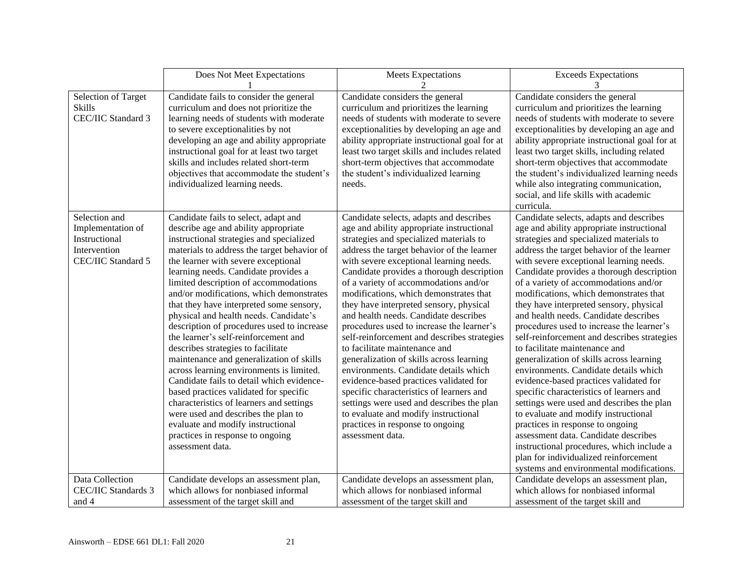|                                                                                           | Does Not Meet Expectations                                                                                                                                                                                                                                                                                                                                                                                                                                                                                                                                                                                                                                                                                                                                                                                                                                                                                                   | <b>Meets Expectations</b>                                                                                                                                                                                                                                                                                                                                                                                                                                                                                                                                                                                                                                                                                                                                                                                                                                                                         | <b>Exceeds Expectations</b>                                                                                                                                                                                                                                                                                                                                                                                                                                                                                                                                                                                                                                                                                                                                                                                                                                                                                                                                                                                                                             |
|-------------------------------------------------------------------------------------------|------------------------------------------------------------------------------------------------------------------------------------------------------------------------------------------------------------------------------------------------------------------------------------------------------------------------------------------------------------------------------------------------------------------------------------------------------------------------------------------------------------------------------------------------------------------------------------------------------------------------------------------------------------------------------------------------------------------------------------------------------------------------------------------------------------------------------------------------------------------------------------------------------------------------------|---------------------------------------------------------------------------------------------------------------------------------------------------------------------------------------------------------------------------------------------------------------------------------------------------------------------------------------------------------------------------------------------------------------------------------------------------------------------------------------------------------------------------------------------------------------------------------------------------------------------------------------------------------------------------------------------------------------------------------------------------------------------------------------------------------------------------------------------------------------------------------------------------|---------------------------------------------------------------------------------------------------------------------------------------------------------------------------------------------------------------------------------------------------------------------------------------------------------------------------------------------------------------------------------------------------------------------------------------------------------------------------------------------------------------------------------------------------------------------------------------------------------------------------------------------------------------------------------------------------------------------------------------------------------------------------------------------------------------------------------------------------------------------------------------------------------------------------------------------------------------------------------------------------------------------------------------------------------|
|                                                                                           |                                                                                                                                                                                                                                                                                                                                                                                                                                                                                                                                                                                                                                                                                                                                                                                                                                                                                                                              |                                                                                                                                                                                                                                                                                                                                                                                                                                                                                                                                                                                                                                                                                                                                                                                                                                                                                                   | 3                                                                                                                                                                                                                                                                                                                                                                                                                                                                                                                                                                                                                                                                                                                                                                                                                                                                                                                                                                                                                                                       |
| Selection of Target<br><b>Skills</b><br>CEC/IIC Standard 3                                | Candidate fails to consider the general<br>curriculum and does not prioritize the<br>learning needs of students with moderate<br>to severe exceptionalities by not<br>developing an age and ability appropriate<br>instructional goal for at least two target<br>skills and includes related short-term<br>objectives that accommodate the student's<br>individualized learning needs.                                                                                                                                                                                                                                                                                                                                                                                                                                                                                                                                       | Candidate considers the general<br>curriculum and prioritizes the learning<br>needs of students with moderate to severe<br>exceptionalities by developing an age and<br>ability appropriate instructional goal for at<br>least two target skills and includes related<br>short-term objectives that accommodate<br>the student's individualized learning<br>needs.                                                                                                                                                                                                                                                                                                                                                                                                                                                                                                                                | Candidate considers the general<br>curriculum and prioritizes the learning<br>needs of students with moderate to severe<br>exceptionalities by developing an age and<br>ability appropriate instructional goal for at<br>least two target skills, including related<br>short-term objectives that accommodate<br>the student's individualized learning needs<br>while also integrating communication,<br>social, and life skills with academic<br>curricula.                                                                                                                                                                                                                                                                                                                                                                                                                                                                                                                                                                                            |
| Selection and<br>Implementation of<br>Instructional<br>Intervention<br>CEC/IIC Standard 5 | Candidate fails to select, adapt and<br>describe age and ability appropriate<br>instructional strategies and specialized<br>materials to address the target behavior of<br>the learner with severe exceptional<br>learning needs. Candidate provides a<br>limited description of accommodations<br>and/or modifications, which demonstrates<br>that they have interpreted some sensory,<br>physical and health needs. Candidate's<br>description of procedures used to increase<br>the learner's self-reinforcement and<br>describes strategies to facilitate<br>maintenance and generalization of skills<br>across learning environments is limited.<br>Candidate fails to detail which evidence-<br>based practices validated for specific<br>characteristics of learners and settings<br>were used and describes the plan to<br>evaluate and modify instructional<br>practices in response to ongoing<br>assessment data. | Candidate selects, adapts and describes<br>age and ability appropriate instructional<br>strategies and specialized materials to<br>address the target behavior of the learner<br>with severe exceptional learning needs.<br>Candidate provides a thorough description<br>of a variety of accommodations and/or<br>modifications, which demonstrates that<br>they have interpreted sensory, physical<br>and health needs. Candidate describes<br>procedures used to increase the learner's<br>self-reinforcement and describes strategies<br>to facilitate maintenance and<br>generalization of skills across learning<br>environments. Candidate details which<br>evidence-based practices validated for<br>specific characteristics of learners and<br>settings were used and describes the plan<br>to evaluate and modify instructional<br>practices in response to ongoing<br>assessment data. | Candidate selects, adapts and describes<br>age and ability appropriate instructional<br>strategies and specialized materials to<br>address the target behavior of the learner<br>with severe exceptional learning needs.<br>Candidate provides a thorough description<br>of a variety of accommodations and/or<br>modifications, which demonstrates that<br>they have interpreted sensory, physical<br>and health needs. Candidate describes<br>procedures used to increase the learner's<br>self-reinforcement and describes strategies<br>to facilitate maintenance and<br>generalization of skills across learning<br>environments. Candidate details which<br>evidence-based practices validated for<br>specific characteristics of learners and<br>settings were used and describes the plan<br>to evaluate and modify instructional<br>practices in response to ongoing<br>assessment data. Candidate describes<br>instructional procedures, which include a<br>plan for individualized reinforcement<br>systems and environmental modifications. |
| Data Collection<br><b>CEC/IIC Standards 3</b>                                             | Candidate develops an assessment plan,<br>which allows for nonbiased informal                                                                                                                                                                                                                                                                                                                                                                                                                                                                                                                                                                                                                                                                                                                                                                                                                                                | Candidate develops an assessment plan,<br>which allows for nonbiased informal                                                                                                                                                                                                                                                                                                                                                                                                                                                                                                                                                                                                                                                                                                                                                                                                                     | Candidate develops an assessment plan,<br>which allows for nonbiased informal                                                                                                                                                                                                                                                                                                                                                                                                                                                                                                                                                                                                                                                                                                                                                                                                                                                                                                                                                                           |
| and 4                                                                                     | assessment of the target skill and                                                                                                                                                                                                                                                                                                                                                                                                                                                                                                                                                                                                                                                                                                                                                                                                                                                                                           | assessment of the target skill and                                                                                                                                                                                                                                                                                                                                                                                                                                                                                                                                                                                                                                                                                                                                                                                                                                                                | assessment of the target skill and                                                                                                                                                                                                                                                                                                                                                                                                                                                                                                                                                                                                                                                                                                                                                                                                                                                                                                                                                                                                                      |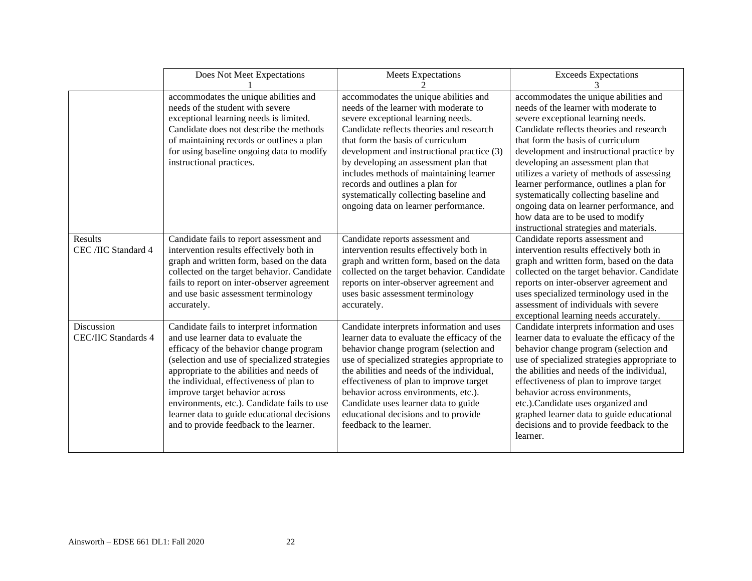|                                          | Does Not Meet Expectations                                                                                                                                                                                                                                                                                                                                                                                                                      | <b>Meets Expectations</b>                                                                                                                                                                                                                                                                                                                                                                                                                                    | <b>Exceeds Expectations</b>                                                                                                                                                                                                                                                                                                                                                                                                                                                                                                                              |
|------------------------------------------|-------------------------------------------------------------------------------------------------------------------------------------------------------------------------------------------------------------------------------------------------------------------------------------------------------------------------------------------------------------------------------------------------------------------------------------------------|--------------------------------------------------------------------------------------------------------------------------------------------------------------------------------------------------------------------------------------------------------------------------------------------------------------------------------------------------------------------------------------------------------------------------------------------------------------|----------------------------------------------------------------------------------------------------------------------------------------------------------------------------------------------------------------------------------------------------------------------------------------------------------------------------------------------------------------------------------------------------------------------------------------------------------------------------------------------------------------------------------------------------------|
|                                          | accommodates the unique abilities and<br>needs of the student with severe<br>exceptional learning needs is limited.<br>Candidate does not describe the methods<br>of maintaining records or outlines a plan<br>for using baseline ongoing data to modify<br>instructional practices.                                                                                                                                                            | accommodates the unique abilities and<br>needs of the learner with moderate to<br>severe exceptional learning needs.<br>Candidate reflects theories and research<br>that form the basis of curriculum<br>development and instructional practice (3)<br>by developing an assessment plan that<br>includes methods of maintaining learner<br>records and outlines a plan for<br>systematically collecting baseline and<br>ongoing data on learner performance. | accommodates the unique abilities and<br>needs of the learner with moderate to<br>severe exceptional learning needs.<br>Candidate reflects theories and research<br>that form the basis of curriculum<br>development and instructional practice by<br>developing an assessment plan that<br>utilizes a variety of methods of assessing<br>learner performance, outlines a plan for<br>systematically collecting baseline and<br>ongoing data on learner performance, and<br>how data are to be used to modify<br>instructional strategies and materials. |
| <b>Results</b><br>CEC /IIC Standard 4    | Candidate fails to report assessment and<br>intervention results effectively both in<br>graph and written form, based on the data<br>collected on the target behavior. Candidate<br>fails to report on inter-observer agreement<br>and use basic assessment terminology<br>accurately.                                                                                                                                                          | Candidate reports assessment and<br>intervention results effectively both in<br>graph and written form, based on the data<br>collected on the target behavior. Candidate<br>reports on inter-observer agreement and<br>uses basic assessment terminology<br>accurately.                                                                                                                                                                                      | Candidate reports assessment and<br>intervention results effectively both in<br>graph and written form, based on the data<br>collected on the target behavior. Candidate<br>reports on inter-observer agreement and<br>uses specialized terminology used in the<br>assessment of individuals with severe<br>exceptional learning needs accurately.                                                                                                                                                                                                       |
| Discussion<br><b>CEC/IIC Standards 4</b> | Candidate fails to interpret information<br>and use learner data to evaluate the<br>efficacy of the behavior change program<br>(selection and use of specialized strategies<br>appropriate to the abilities and needs of<br>the individual, effectiveness of plan to<br>improve target behavior across<br>environments, etc.). Candidate fails to use<br>learner data to guide educational decisions<br>and to provide feedback to the learner. | Candidate interprets information and uses<br>learner data to evaluate the efficacy of the<br>behavior change program (selection and<br>use of specialized strategies appropriate to<br>the abilities and needs of the individual,<br>effectiveness of plan to improve target<br>behavior across environments, etc.).<br>Candidate uses learner data to guide<br>educational decisions and to provide<br>feedback to the learner.                             | Candidate interprets information and uses<br>learner data to evaluate the efficacy of the<br>behavior change program (selection and<br>use of specialized strategies appropriate to<br>the abilities and needs of the individual,<br>effectiveness of plan to improve target<br>behavior across environments,<br>etc.).Candidate uses organized and<br>graphed learner data to guide educational<br>decisions and to provide feedback to the<br>learner.                                                                                                 |